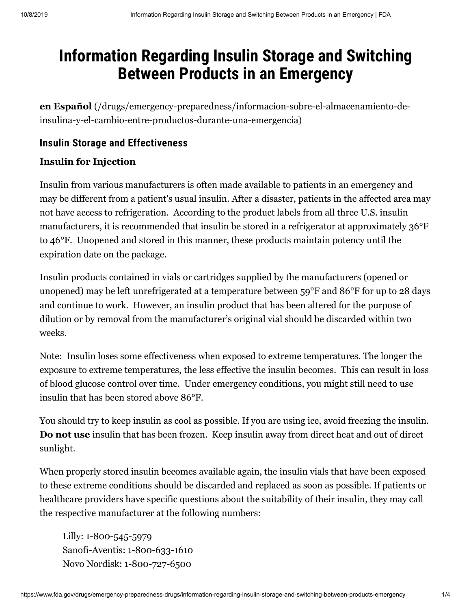# **Information Regarding Insulin Storage and Switching Between Products in an Emergency**

**en Español** [\(/drugs/emergency-preparedness/informacion-sobre-el-almacenamiento-de](https://www.fda.gov/drugs/emergency-preparedness/informacion-sobre-el-almacenamiento-de-insulina-y-el-cambio-entre-productos-durante-una-emergencia)insulina-y-el-cambio-entre-productos-durante-una-emergencia)

#### **Insulin Storage and Effectiveness**

#### **Insulin for Injection**

Insulin from various manufacturers is often made available to patients in an emergency and may be different from a patient's usual insulin. After a disaster, patients in the affected area may not have access to refrigeration. According to the product labels from all three U.S. insulin manufacturers, it is recommended that insulin be stored in a refrigerator at approximately 36°F to 46°F. Unopened and stored in this manner, these products maintain potency until the expiration date on the package.

Insulin products contained in vials or cartridges supplied by the manufacturers (opened or unopened) may be left unrefrigerated at a temperature between 59°F and 86°F for up to 28 days and continue to work. However, an insulin product that has been altered for the purpose of dilution or by removal from the manufacturer's original vial should be discarded within two weeks.

Note: Insulin loses some effectiveness when exposed to extreme temperatures. The longer the exposure to extreme temperatures, the less effective the insulin becomes. This can result in loss of blood glucose control over time. Under emergency conditions, you might still need to use insulin that has been stored above 86°F.

You should try to keep insulin as cool as possible. If you are using ice, avoid freezing the insulin. **Do not use** insulin that has been frozen. Keep insulin away from direct heat and out of direct sunlight.

When properly stored insulin becomes available again, the insulin vials that have been exposed to these extreme conditions should be discarded and replaced as soon as possible. If patients or healthcare providers have specific questions about the suitability of their insulin, they may call the respective manufacturer at the following numbers:

Lilly: 1-800-545-5979 Sanofi-Aventis: 1-800-633-1610 Novo Nordisk: 1-800-727-6500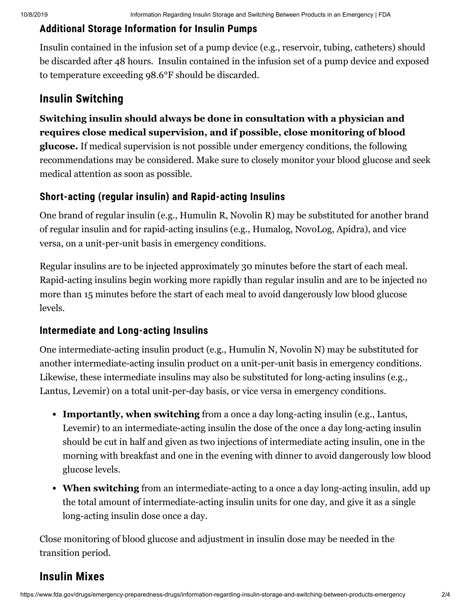## **Additional Storage Information for Insulin Pumps**

Insulin contained in the infusion set of a pump device (e.g., reservoir, tubing, catheters) should be discarded after 48 hours. Insulin contained in the infusion set of a pump device and exposed to temperature exceeding 98.6°F should be discarded.

# **Insulin Switching**

# **Switching insulin should always be done in consultation with a physician and requires close medical supervision, and if possible, close monitoring of blood**

**glucose.** If medical supervision is not possible under emergency conditions, the following recommendations may be considered. Make sure to closely monitor your blood glucose and seek medical attention as soon as possible.

## **Short-acting (regular insulin) and Rapid-acting Insulins**

One brand of regular insulin (e.g., Humulin R, Novolin R) may be substituted for another brand of regular insulin and for rapid-acting insulins (e.g., Humalog, NovoLog, Apidra), and vice versa, on a unit-per-unit basis in emergency conditions.

Regular insulins are to be injected approximately 30 minutes before the start of each meal. Rapid-acting insulins begin working more rapidly than regular insulin and are to be injected no more than 15 minutes before the start of each meal to avoid dangerously low blood glucose levels.

### **Intermediate and Long-acting Insulins**

One intermediate-acting insulin product (e.g., Humulin N, Novolin N) may be substituted for another intermediate-acting insulin product on a unit-per-unit basis in emergency conditions. Likewise, these intermediate insulins may also be substituted for long-acting insulins (e.g., Lantus, Levemir) on a total unit-per-day basis, or vice versa in emergency conditions.

- **Importantly, when switching** from a once a day long-acting insulin (e.g., Lantus, Levemir) to an intermediate-acting insulin the dose of the once a day long-acting insulin should be cut in half and given as two injections of intermediate acting insulin, one in the morning with breakfast and one in the evening with dinner to avoid dangerously low blood glucose levels.
- **When switching** from an intermediate-acting to a once a day long-acting insulin, add up the total amount of intermediate-acting insulin units for one day, and give it as a single long-acting insulin dose once a day.

Close monitoring of blood glucose and adjustment in insulin dose may be needed in the transition period.

# **Insulin Mixes**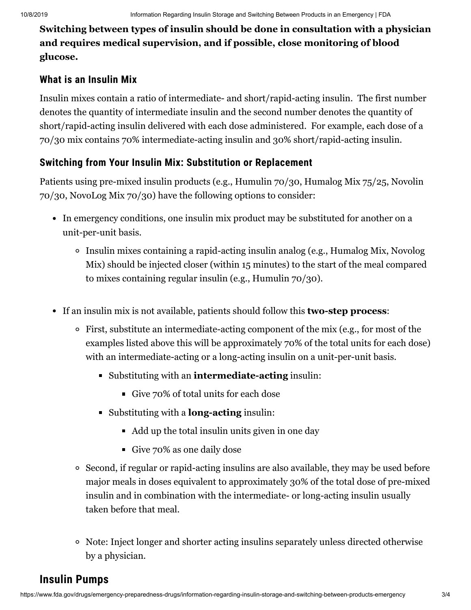**Switching between types of insulin should be done in consultation with a physician and requires medical supervision, and if possible, close monitoring of blood glucose.**

### **What is an Insulin Mix**

Insulin mixes contain a ratio of intermediate- and short/rapid-acting insulin. The first number denotes the quantity of intermediate insulin and the second number denotes the quantity of short/rapid-acting insulin delivered with each dose administered. For example, each dose of a 70/30 mix contains 70% intermediate-acting insulin and 30% short/rapid-acting insulin.

## **Switching from Your Insulin Mix: Substitution or Replacement**

Patients using pre-mixed insulin products (e.g., Humulin 70/30, Humalog Mix 75/25, Novolin 70/30, NovoLog Mix 70/30) have the following options to consider:

- In emergency conditions, one insulin mix product may be substituted for another on a unit-per-unit basis.
	- Insulin mixes containing a rapid-acting insulin analog (e.g., Humalog Mix, Novolog Mix) should be injected closer (within 15 minutes) to the start of the meal compared to mixes containing regular insulin (e.g., Humulin 70/30).
- If an insulin mix is not available, patients should follow this **two-step process**:
	- First, substitute an intermediate-acting component of the mix (e.g., for most of the examples listed above this will be approximately 70% of the total units for each dose) with an intermediate-acting or a long-acting insulin on a unit-per-unit basis.
		- Substituting with an **intermediate-acting** insulin:
			- Give 70% of total units for each dose
		- Substituting with a **long-acting** insulin:
			- Add up the total insulin units given in one day
			- Give 70% as one daily dose
	- Second, if regular or rapid-acting insulins are also available, they may be used before major meals in doses equivalent to approximately 30% of the total dose of pre-mixed insulin and in combination with the intermediate- or long-acting insulin usually taken before that meal.
	- Note: Inject longer and shorter acting insulins separately unless directed otherwise by a physician.

# **Insulin Pumps**